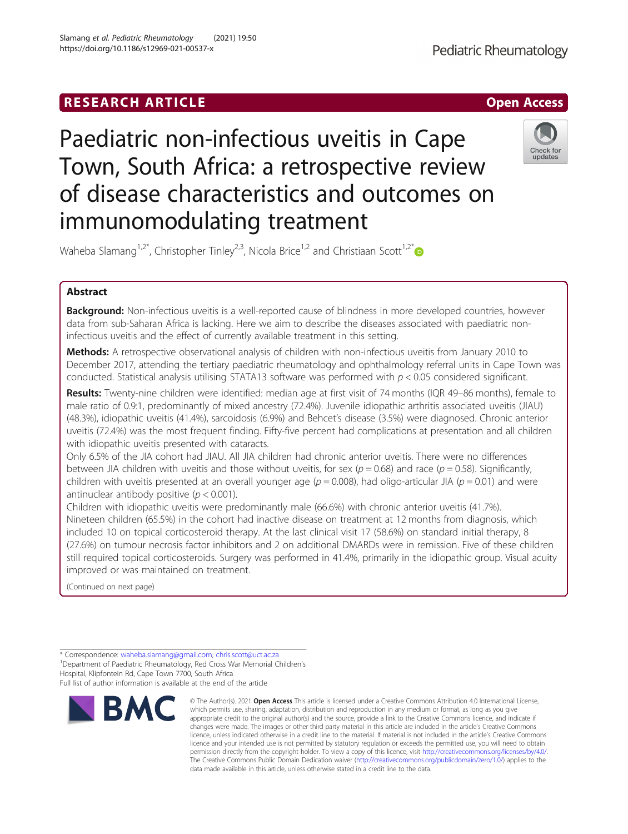# RESEARCH ARTICLE **External of the Contract Contract Contract Contract Contract Contract Contract Contract Contract Contract Contract Contract Contract Contract Contract Contract Contract Contract Contract Contract Contract**



# Paediatric non-infectious uveitis in Cape Town, South Africa: a retrospective review of disease characteristics and outcomes on immunomodulating treatment



Waheba Slamang<sup>1,2[\\*](http://orcid.org/0000-0003-3874-1704)</sup>, Christopher Tinley<sup>2,3</sup>, Nicola Brice<sup>1,2</sup> and Christiaan Scott<sup>1,2\*</sup>

# Abstract

**Background:** Non-infectious uveitis is a well-reported cause of blindness in more developed countries, however data from sub-Saharan Africa is lacking. Here we aim to describe the diseases associated with paediatric noninfectious uveitis and the effect of currently available treatment in this setting.

Methods: A retrospective observational analysis of children with non-infectious uveitis from January 2010 to December 2017, attending the tertiary paediatric rheumatology and ophthalmology referral units in Cape Town was conducted. Statistical analysis utilising STATA13 software was performed with  $p < 0.05$  considered significant.

Results: Twenty-nine children were identified: median age at first visit of 74 months (IQR 49–86 months), female to male ratio of 0.9:1, predominantly of mixed ancestry (72.4%). Juvenile idiopathic arthritis associated uveitis (JIAU) (48.3%), idiopathic uveitis (41.4%), sarcoidosis (6.9%) and Behcet's disease (3.5%) were diagnosed. Chronic anterior uveitis (72.4%) was the most frequent finding. Fifty-five percent had complications at presentation and all children with idiopathic uveitis presented with cataracts.

Only 6.5% of the JIA cohort had JIAU. All JIA children had chronic anterior uveitis. There were no differences between JIA children with uveitis and those without uveitis, for sex ( $p = 0.68$ ) and race ( $p = 0.58$ ). Significantly, children with uveitis presented at an overall younger age ( $p = 0.008$ ), had oligo-articular JIA ( $p = 0.01$ ) and were antinuclear antibody positive ( $p < 0.001$ ).

Children with idiopathic uveitis were predominantly male (66.6%) with chronic anterior uveitis (41.7%). Nineteen children (65.5%) in the cohort had inactive disease on treatment at 12 months from diagnosis, which included 10 on topical corticosteroid therapy. At the last clinical visit 17 (58.6%) on standard initial therapy, 8 (27.6%) on tumour necrosis factor inhibitors and 2 on additional DMARDs were in remission. Five of these children still required topical corticosteroids. Surgery was performed in 41.4%, primarily in the idiopathic group. Visual acuity improved or was maintained on treatment.

(Continued on next page)

<sup>1</sup> Department of Paediatric Rheumatology, Red Cross War Memorial Children's Hospital, Klipfontein Rd, Cape Town 7700, South Africa Full list of author information is available at the end of the article



<sup>©</sup> The Author(s), 2021 **Open Access** This article is licensed under a Creative Commons Attribution 4.0 International License, which permits use, sharing, adaptation, distribution and reproduction in any medium or format, as long as you give appropriate credit to the original author(s) and the source, provide a link to the Creative Commons licence, and indicate if changes were made. The images or other third party material in this article are included in the article's Creative Commons licence, unless indicated otherwise in a credit line to the material. If material is not included in the article's Creative Commons licence and your intended use is not permitted by statutory regulation or exceeds the permitted use, you will need to obtain permission directly from the copyright holder. To view a copy of this licence, visit [http://creativecommons.org/licenses/by/4.0/.](http://creativecommons.org/licenses/by/4.0/) The Creative Commons Public Domain Dedication waiver [\(http://creativecommons.org/publicdomain/zero/1.0/](http://creativecommons.org/publicdomain/zero/1.0/)) applies to the data made available in this article, unless otherwise stated in a credit line to the data.

<sup>\*</sup> Correspondence: [waheba.slamang@gmail.com](mailto:waheba.slamang@gmail.com); [chris.scott@uct.ac.za](mailto:chris.scott@uct.ac.za) <sup>1</sup>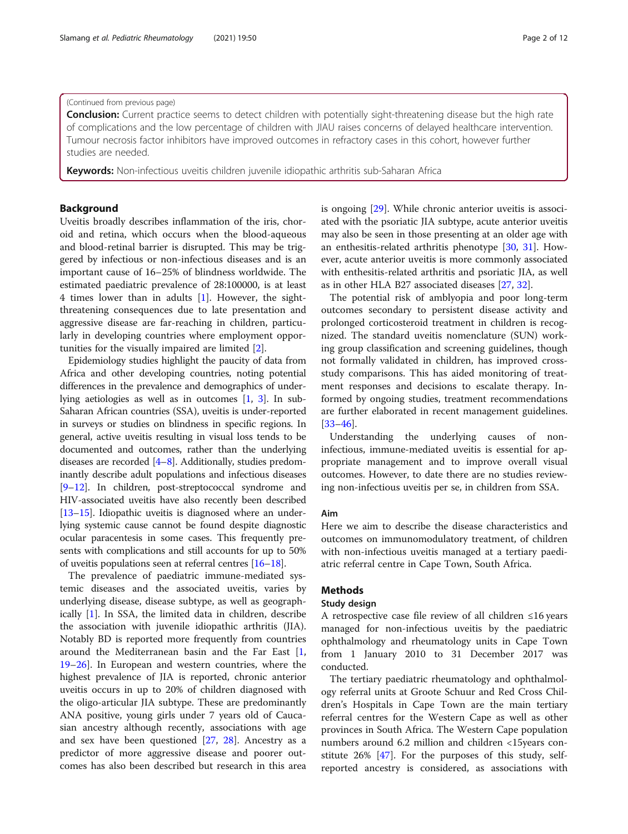## (Continued from previous page)

Conclusion: Current practice seems to detect children with potentially sight-threatening disease but the high rate of complications and the low percentage of children with JIAU raises concerns of delayed healthcare intervention. Tumour necrosis factor inhibitors have improved outcomes in refractory cases in this cohort, however further studies are needed.

Keywords: Non-infectious uveitis children juvenile idiopathic arthritis sub-Saharan Africa

# Background

Uveitis broadly describes inflammation of the iris, choroid and retina, which occurs when the blood-aqueous and blood-retinal barrier is disrupted. This may be triggered by infectious or non-infectious diseases and is an important cause of 16–25% of blindness worldwide. The estimated paediatric prevalence of 28:100000, is at least 4 times lower than in adults [\[1](#page-9-0)]. However, the sightthreatening consequences due to late presentation and aggressive disease are far-reaching in children, particularly in developing countries where employment opportunities for the visually impaired are limited [[2\]](#page-9-0).

Epidemiology studies highlight the paucity of data from Africa and other developing countries, noting potential differences in the prevalence and demographics of underlying aetiologies as well as in outcomes [\[1,](#page-9-0) [3\]](#page-9-0). In sub-Saharan African countries (SSA), uveitis is under-reported in surveys or studies on blindness in specific regions. In general, active uveitis resulting in visual loss tends to be documented and outcomes, rather than the underlying diseases are recorded [[4](#page-9-0)–[8](#page-9-0)]. Additionally, studies predominantly describe adult populations and infectious diseases [[9](#page-9-0)–[12](#page-9-0)]. In children, post-streptococcal syndrome and HIV-associated uveitis have also recently been described [[13](#page-10-0)–[15\]](#page-10-0). Idiopathic uveitis is diagnosed where an underlying systemic cause cannot be found despite diagnostic ocular paracentesis in some cases. This frequently presents with complications and still accounts for up to 50% of uveitis populations seen at referral centres [\[16](#page-10-0)–[18](#page-10-0)].

The prevalence of paediatric immune-mediated systemic diseases and the associated uveitis, varies by underlying disease, disease subtype, as well as geographically [[1\]](#page-9-0). In SSA, the limited data in children, describe the association with juvenile idiopathic arthritis (JIA). Notably BD is reported more frequently from countries around the Mediterranean basin and the Far East [\[1](#page-9-0), [19](#page-10-0)–[26](#page-10-0)]. In European and western countries, where the highest prevalence of JIA is reported, chronic anterior uveitis occurs in up to 20% of children diagnosed with the oligo-articular JIA subtype. These are predominantly ANA positive, young girls under 7 years old of Caucasian ancestry although recently, associations with age and sex have been questioned [\[27,](#page-10-0) [28\]](#page-10-0). Ancestry as a predictor of more aggressive disease and poorer outcomes has also been described but research in this area is ongoing [\[29](#page-10-0)]. While chronic anterior uveitis is associated with the psoriatic JIA subtype, acute anterior uveitis may also be seen in those presenting at an older age with an enthesitis-related arthritis phenotype [[30,](#page-10-0) [31\]](#page-10-0). However, acute anterior uveitis is more commonly associated with enthesitis-related arthritis and psoriatic JIA, as well as in other HLA B27 associated diseases [[27](#page-10-0), [32](#page-10-0)].

The potential risk of amblyopia and poor long-term outcomes secondary to persistent disease activity and prolonged corticosteroid treatment in children is recognized. The standard uveitis nomenclature (SUN) working group classification and screening guidelines, though not formally validated in children, has improved crossstudy comparisons. This has aided monitoring of treatment responses and decisions to escalate therapy. Informed by ongoing studies, treatment recommendations are further elaborated in recent management guidelines. [[33](#page-10-0)–[46](#page-11-0)].

Understanding the underlying causes of noninfectious, immune-mediated uveitis is essential for appropriate management and to improve overall visual outcomes. However, to date there are no studies reviewing non-infectious uveitis per se, in children from SSA.

## Aim

Here we aim to describe the disease characteristics and outcomes on immunomodulatory treatment, of children with non-infectious uveitis managed at a tertiary paediatric referral centre in Cape Town, South Africa.

# Methods

#### Study design

A retrospective case file review of all children ≤16 years managed for non-infectious uveitis by the paediatric ophthalmology and rheumatology units in Cape Town from 1 January 2010 to 31 December 2017 was conducted.

The tertiary paediatric rheumatology and ophthalmology referral units at Groote Schuur and Red Cross Children's Hospitals in Cape Town are the main tertiary referral centres for the Western Cape as well as other provinces in South Africa. The Western Cape population numbers around 6.2 million and children <15years constitute 26% [\[47](#page-11-0)]. For the purposes of this study, selfreported ancestry is considered, as associations with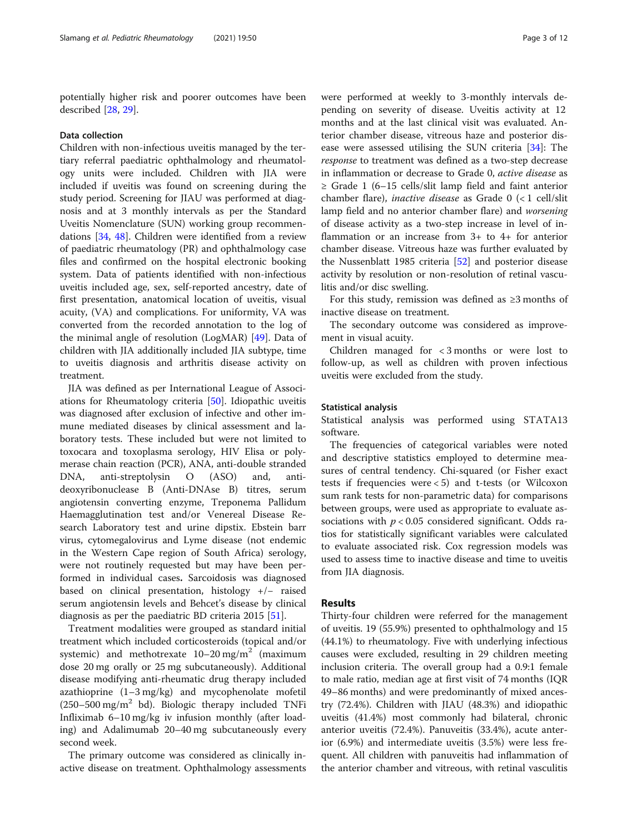potentially higher risk and poorer outcomes have been described [[28](#page-10-0), [29](#page-10-0)].

#### Data collection

Children with non-infectious uveitis managed by the tertiary referral paediatric ophthalmology and rheumatology units were included. Children with JIA were included if uveitis was found on screening during the study period. Screening for JIAU was performed at diagnosis and at 3 monthly intervals as per the Standard Uveitis Nomenclature (SUN) working group recommendations [\[34](#page-10-0), [48\]](#page-11-0). Children were identified from a review of paediatric rheumatology (PR) and ophthalmology case files and confirmed on the hospital electronic booking system. Data of patients identified with non-infectious uveitis included age, sex, self-reported ancestry, date of first presentation, anatomical location of uveitis, visual acuity, (VA) and complications. For uniformity, VA was converted from the recorded annotation to the log of the minimal angle of resolution (LogMAR) [\[49](#page-11-0)]. Data of children with JIA additionally included JIA subtype, time to uveitis diagnosis and arthritis disease activity on treatment.

JIA was defined as per International League of Associations for Rheumatology criteria [[50\]](#page-11-0). Idiopathic uveitis was diagnosed after exclusion of infective and other immune mediated diseases by clinical assessment and laboratory tests. These included but were not limited to toxocara and toxoplasma serology, HIV Elisa or polymerase chain reaction (PCR), ANA, anti-double stranded DNA, anti-streptolysin O (ASO) and, antideoxyribonuclease B (Anti-DNAse B) titres, serum angiotensin converting enzyme, Treponema Pallidum Haemagglutination test and/or Venereal Disease Research Laboratory test and urine dipstix. Ebstein barr virus, cytomegalovirus and Lyme disease (not endemic in the Western Cape region of South Africa) serology, were not routinely requested but may have been performed in individual cases. Sarcoidosis was diagnosed based on clinical presentation, histology +/− raised serum angiotensin levels and Behcet's disease by clinical diagnosis as per the paediatric BD criteria 2015 [[51\]](#page-11-0).

Treatment modalities were grouped as standard initial treatment which included corticosteroids (topical and/or systemic) and methotrexate  $10-20$  mg/m<sup>2</sup> (maximum dose 20 mg orally or 25 mg subcutaneously). Additional disease modifying anti-rheumatic drug therapy included azathioprine (1–3 mg/kg) and mycophenolate mofetil  $(250-500 \text{ mg/m}^2 \text{ bd})$ . Biologic therapy included TNFi Infliximab 6–10 mg/kg iv infusion monthly (after loading) and Adalimumab 20–40 mg subcutaneously every second week.

The primary outcome was considered as clinically inactive disease on treatment. Ophthalmology assessments were performed at weekly to 3-monthly intervals depending on severity of disease. Uveitis activity at 12 months and at the last clinical visit was evaluated. Anterior chamber disease, vitreous haze and posterior disease were assessed utilising the SUN criteria [[34\]](#page-10-0): The response to treatment was defined as a two-step decrease in inflammation or decrease to Grade 0, active disease as  $\geq$  Grade 1 (6–15 cells/slit lamp field and faint anterior chamber flare), *inactive disease* as Grade  $0$  (< 1 cell/slit lamp field and no anterior chamber flare) and worsening of disease activity as a two-step increase in level of inflammation or an increase from 3+ to 4+ for anterior chamber disease. Vitreous haze was further evaluated by the Nussenblatt 1985 criteria [[52](#page-11-0)] and posterior disease activity by resolution or non-resolution of retinal vasculitis and/or disc swelling.

For this study, remission was defined as  $\geq 3$  months of inactive disease on treatment.

The secondary outcome was considered as improvement in visual acuity.

Children managed for < 3 months or were lost to follow-up, as well as children with proven infectious uveitis were excluded from the study.

#### Statistical analysis

Statistical analysis was performed using STATA13 software.

The frequencies of categorical variables were noted and descriptive statistics employed to determine measures of central tendency. Chi-squared (or Fisher exact tests if frequencies were < 5) and t-tests (or Wilcoxon sum rank tests for non-parametric data) for comparisons between groups, were used as appropriate to evaluate associations with  $p < 0.05$  considered significant. Odds ratios for statistically significant variables were calculated to evaluate associated risk. Cox regression models was used to assess time to inactive disease and time to uveitis from JIA diagnosis.

# Results

Thirty-four children were referred for the management of uveitis. 19 (55.9%) presented to ophthalmology and 15 (44.1%) to rheumatology. Five with underlying infectious causes were excluded, resulting in 29 children meeting inclusion criteria. The overall group had a 0.9:1 female to male ratio, median age at first visit of 74 months (IQR 49–86 months) and were predominantly of mixed ancestry (72.4%). Children with JIAU (48.3%) and idiopathic uveitis (41.4%) most commonly had bilateral, chronic anterior uveitis (72.4%). Panuveitis (33.4%), acute anterior (6.9%) and intermediate uveitis (3.5%) were less frequent. All children with panuveitis had inflammation of the anterior chamber and vitreous, with retinal vasculitis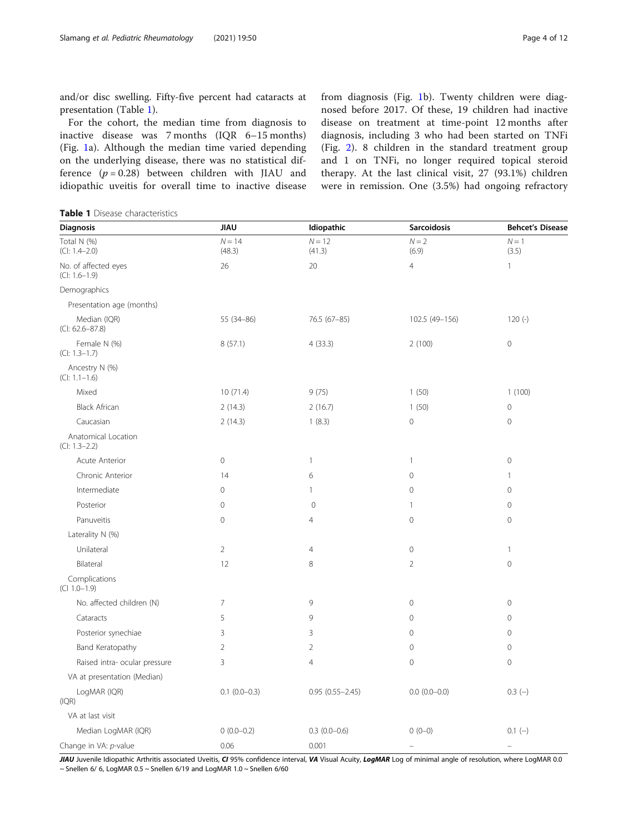<span id="page-3-0"></span>and/or disc swelling. Fifty-five percent had cataracts at presentation (Table 1).

For the cohort, the median time from diagnosis to inactive disease was 7 months (IQR 6–15 months) (Fig. [1](#page-4-0)a). Although the median time varied depending on the underlying disease, there was no statistical difference  $(p = 0.28)$  between children with JIAU and idiopathic uveitis for overall time to inactive disease from diagnosis (Fig. [1b](#page-4-0)). Twenty children were diagnosed before 2017. Of these, 19 children had inactive disease on treatment at time-point 12 months after diagnosis, including 3 who had been started on TNFi (Fig. [2](#page-5-0)). 8 children in the standard treatment group and 1 on TNFi, no longer required topical steroid therapy. At the last clinical visit, 27 (93.1%) children were in remission. One (3.5%) had ongoing refractory

Table 1 Disease characteristics

| Diagnosis                               | <b>JIAU</b>        | Idiopathic          | <b>Sarcoidosis</b>       | <b>Behcet's Disease</b>  |
|-----------------------------------------|--------------------|---------------------|--------------------------|--------------------------|
| Total N (%)<br>$(CI: 1.4-2.0)$          | $N = 14$<br>(48.3) | $N = 12$<br>(41.3)  | $N = 2$<br>(6.9)         | $N = 1$<br>(3.5)         |
| No. of affected eyes<br>$(CI: 1.6-1.9)$ | 26                 | 20                  | $\overline{4}$           | $\mathbf{1}$             |
| Demographics                            |                    |                     |                          |                          |
| Presentation age (months)               |                    |                     |                          |                          |
| Median (IQR)<br>$(CI: 62.6 - 87.8)$     | 55 (34-86)         | 76.5 (67-85)        |                          | $120(-)$                 |
| Female N (%)<br>$(CI: 1.3-1.7)$         | 8(57.1)            | 4(33.3)             | 2(100)                   | $\mathbf 0$              |
| Ancestry N (%)<br>$(CI: 1.1-1.6)$       |                    |                     |                          |                          |
| Mixed                                   | 10(71.4)           | 9(75)               | 1(50)                    | 1(100)                   |
| <b>Black African</b>                    | 2(14.3)            | 2(16.7)             | 1(50)                    | $\mathbf 0$              |
| Caucasian                               | 2(14.3)            | 1(8.3)              | $\mathsf{O}\xspace$      | $\mathbf 0$              |
| Anatomical Location<br>$(CI: 1.3-2.2)$  |                    |                     |                          |                          |
| Acute Anterior                          | $\mathbf 0$        | $\mathbf{1}$        | $\mathbf{1}$             | $\mathbf 0$              |
| Chronic Anterior                        | 14                 | 6                   | $\mathsf{O}\xspace$      | $\mathbf{1}$             |
| Intermediate                            | $\mathbf 0$        | $\mathbf{1}$        | $\mathsf{O}\xspace$      | $\mathbf 0$              |
| Posterior                               | $\mathbf 0$        | $\mathbf 0$         | $\mathbf{1}$             | $\mathbf 0$              |
| Panuveitis                              | $\mathbf 0$        | $\overline{4}$      | $\mathsf{O}\xspace$      | $\mathbf 0$              |
| Laterality N (%)                        |                    |                     |                          |                          |
| Unilateral                              | $\overline{2}$     | $\overline{4}$      | $\circ$                  | $\mathbf{1}$             |
| Bilateral                               | 12                 | 8                   | $\overline{2}$           | $\mathbf{0}$             |
| Complications<br>$(C1 1.0 - 1.9)$       |                    |                     |                          |                          |
| No. affected children (N)               | $\overline{7}$     | 9                   | $\mathbf 0$              | $\mathbf 0$              |
| Cataracts                               | 5                  | 9                   | $\circ$                  | $\mathbf 0$              |
| Posterior synechiae                     | $\mathbf{3}$       | 3                   | $\circ$                  | $\mathbf 0$              |
| Band Keratopathy                        | $\overline{2}$     | $\overline{2}$      | $\mathsf{O}\xspace$      | $\mathbf 0$              |
| Raised intra- ocular pressure           | 3                  | $\overline{4}$      | $\circ$                  | $\mathbf 0$              |
| VA at presentation (Median)             |                    |                     |                          |                          |
| LogMAR (IQR)<br>(IQR)                   | $0.1$ $(0.0-0.3)$  | $0.95(0.55 - 2.45)$ | $0.0 (0.0 - 0.0)$        | $0.3(-)$                 |
| VA at last visit                        |                    |                     |                          |                          |
| Median LogMAR (IQR)                     | $0(0.0-0.2)$       | $0.3(0.0-0.6)$      | $0(0-0)$                 | $0.1(-)$                 |
| Change in VA: p-value                   | 0.06               | 0.001               | $\overline{\phantom{0}}$ | $\overline{\phantom{0}}$ |

JIAU Juvenile Idiopathic Arthritis associated Uveitis, CI 95% confidence interval, VA Visual Acuity, LogMAR Log of minimal angle of resolution, where LogMAR 0.0  $\sim$  Snellen 6/ 6, LogMAR 0.5  $\sim$  Snellen 6/19 and LogMAR 1.0  $\sim$  Snellen 6/60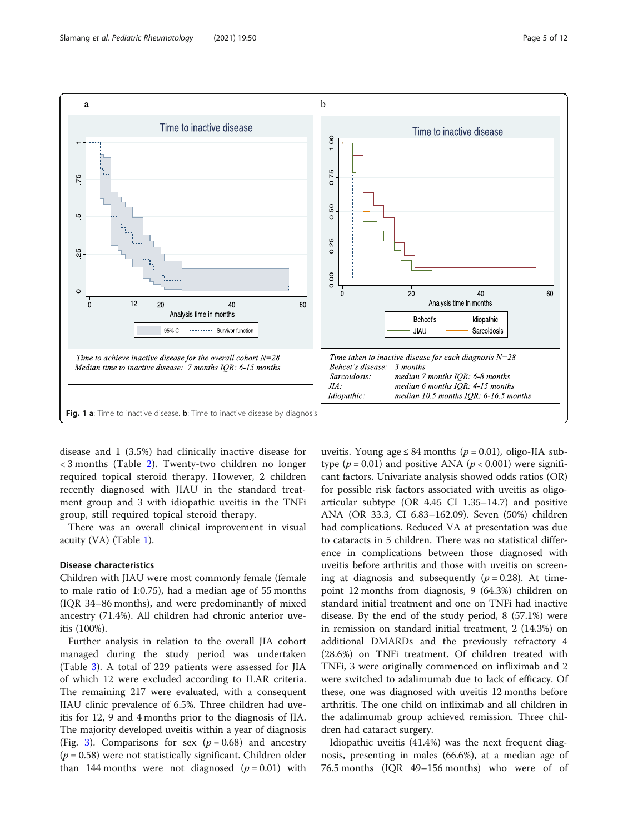<span id="page-4-0"></span>

disease and 1 (3.5%) had clinically inactive disease for < 3 months (Table [2\)](#page-5-0). Twenty-two children no longer required topical steroid therapy. However, 2 children recently diagnosed with JIAU in the standard treatment group and 3 with idiopathic uveitis in the TNFi group, still required topical steroid therapy.

There was an overall clinical improvement in visual acuity (VA) (Table [1\)](#page-3-0).

# Disease characteristics

Children with JIAU were most commonly female (female to male ratio of 1:0.75), had a median age of 55 months (IQR 34–86 months), and were predominantly of mixed ancestry (71.4%). All children had chronic anterior uveitis (100%).

Further analysis in relation to the overall JIA cohort managed during the study period was undertaken (Table [3\)](#page-6-0). A total of 229 patients were assessed for JIA of which 12 were excluded according to ILAR criteria. The remaining 217 were evaluated, with a consequent JIAU clinic prevalence of 6.5%. Three children had uveitis for 12, 9 and 4 months prior to the diagnosis of JIA. The majority developed uveitis within a year of diagnosis (Fig. [3](#page-7-0)). Comparisons for sex  $(p = 0.68)$  and ancestry  $(p = 0.58)$  were not statistically significant. Children older than 144 months were not diagnosed  $(p = 0.01)$  with

uveitis. Young age  $\leq 84$  months ( $p = 0.01$ ), oligo-JIA subtype ( $p = 0.01$ ) and positive ANA ( $p < 0.001$ ) were significant factors. Univariate analysis showed odds ratios (OR) for possible risk factors associated with uveitis as oligoarticular subtype (OR 4.45 CI 1.35–14.7) and positive ANA (OR 33.3, CI 6.83–162.09). Seven (50%) children had complications. Reduced VA at presentation was due to cataracts in 5 children. There was no statistical difference in complications between those diagnosed with uveitis before arthritis and those with uveitis on screening at diagnosis and subsequently ( $p = 0.28$ ). At timepoint 12 months from diagnosis, 9 (64.3%) children on standard initial treatment and one on TNFi had inactive disease. By the end of the study period, 8 (57.1%) were in remission on standard initial treatment, 2 (14.3%) on additional DMARDs and the previously refractory 4 (28.6%) on TNFi treatment. Of children treated with TNFi, 3 were originally commenced on infliximab and 2 were switched to adalimumab due to lack of efficacy. Of these, one was diagnosed with uveitis 12 months before arthritis. The one child on infliximab and all children in the adalimumab group achieved remission. Three children had cataract surgery.

Idiopathic uveitis (41.4%) was the next frequent diagnosis, presenting in males (66.6%), at a median age of 76.5 months (IQR 49–156 months) who were of of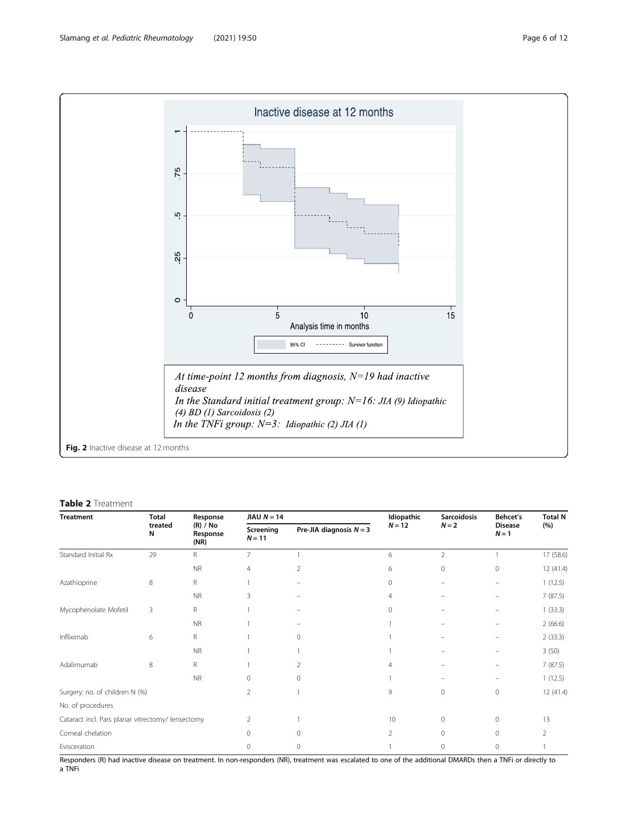<span id="page-5-0"></span>

#### Table 2 Treatment

| <b>Treatment</b>                                  | Total        | Response<br>(R) / No<br>Response<br>(NR) | JIAU $N = 14$         |                           | Idiopathic     | <b>Sarcoidosis</b> | Behcet's                 | <b>Total N</b> |
|---------------------------------------------------|--------------|------------------------------------------|-----------------------|---------------------------|----------------|--------------------|--------------------------|----------------|
|                                                   | treated<br>N |                                          | Screening<br>$N = 11$ | Pre-JIA diagnosis $N = 3$ | $N = 12$       | $N = 2$            | <b>Disease</b><br>$N=1$  | (%)            |
| Standard Initial Rx                               | 29           | R.                                       | $\overline{7}$        |                           | 6              | $\overline{2}$     |                          | 17 (58.6)      |
|                                                   |              | <b>NR</b>                                | 4                     | 2                         | 6              | 0                  | 0                        | 12 (41.4)      |
| Azathioprine                                      | 8            | R                                        |                       |                           | $\mathbf{0}$   |                    | $\overline{\phantom{0}}$ | 1(12.5)        |
|                                                   |              | <b>NR</b>                                | 3                     |                           | $\overline{4}$ |                    | ۰                        | 7(87.5)        |
| Mycophenolate Mofetil                             | 3            | R.                                       |                       |                           | $\mathbf{0}$   |                    |                          | 1(33.3)        |
|                                                   |              | <b>NR</b>                                |                       |                           |                |                    |                          | 2(66.6)        |
| Infliximab                                        | 6            | R                                        |                       | $\Omega$                  |                |                    | $\overline{\phantom{0}}$ | 2(33.3)        |
|                                                   |              | <b>NR</b>                                |                       |                           |                |                    | ۰                        | 3(50)          |
| Adalimumab                                        | 8            | R                                        |                       | 2                         | 4              |                    |                          | 7(87.5)        |
|                                                   |              | <b>NR</b>                                | $\mathbf{0}$          | 0                         |                |                    |                          | 1(12.5)        |
| Surgery: no. of children N (%)                    |              | $\overline{2}$                           |                       | 9                         | $\mathbf{0}$   | $\circ$            | 12 (41.4)                |                |
| No. of procedures                                 |              |                                          |                       |                           |                |                    |                          |                |
| Cataract incl. Pars planar vitrectomy/ lensectomy |              | $\overline{2}$                           |                       | 10                        | $\mathbf{0}$   | $\circ$            | 13                       |                |
| Corneal chelation                                 |              |                                          | $\Omega$              | $\Omega$                  | $\overline{2}$ | $\mathbf{0}$       | $\circ$                  | $\mathcal{P}$  |
| Evisceration                                      |              |                                          | $\Omega$              | 0                         |                | $\circ$            | 0                        |                |

Responders (R) had inactive disease on treatment. In non-responders (NR), treatment was escalated to one of the additional DMARDs then a TNFi or directly to a TNFi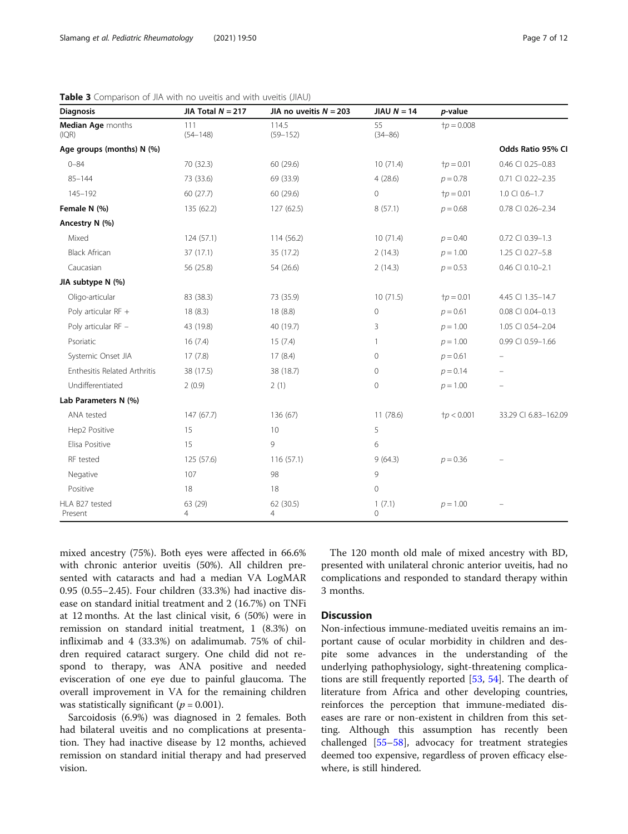| <b>Diagnosis</b>             | JIA Total $N = 217$ | JIA no uveitis $N = 203$ | JIAU $N = 14$     | p-value               |                      |
|------------------------------|---------------------|--------------------------|-------------------|-----------------------|----------------------|
| Median Age months<br>(IQR)   | 111<br>$(54 - 148)$ | 114.5<br>$(59 - 152)$    | 55<br>$(34 - 86)$ | $tp = 0.008$          |                      |
| Age groups (months) N (%)    |                     |                          |                   |                       | Odds Ratio 95% CI    |
| $0 - 84$                     | 70 (32.3)           | 60 (29.6)                | 10(71.4)          | ${\dagger}p = 0.01$   | 0.46 CI 0.25-0.83    |
| $85 - 144$                   | 73 (33.6)           | 69 (33.9)                | 4(28.6)           | $p = 0.78$            | 0.71 CI 0.22-2.35    |
| 145-192                      | 60(27.7)            | 60 (29.6)                | $\mathbf{0}$      | ${\dagger}p = 0.01$   | 1.0 CI 0.6-1.7       |
| Female N (%)                 | 135 (62.2)          | 127 (62.5)               | 8(57.1)           | $p = 0.68$            | 0.78 CI 0.26-2.34    |
| Ancestry N (%)               |                     |                          |                   |                       |                      |
| Mixed                        | 124 (57.1)          | 114 (56.2)               | 10(71.4)          | $p = 0.40$            | 0.72 CI 0.39-1.3     |
| <b>Black African</b>         | 37 (17.1)           | 35 (17.2)                | 2(14.3)           | $p = 1.00$            | 1.25 CI 0.27-5.8     |
| Caucasian                    | 56 (25.8)           | 54 (26.6)                | 2(14.3)           | $p = 0.53$            | 0.46 CI 0.10-2.1     |
| JIA subtype N (%)            |                     |                          |                   |                       |                      |
| Oligo-articular              | 83 (38.3)           | 73 (35.9)                | 10(71.5)          | $\dagger p = 0.01$    | 4.45 CI 1.35-14.7    |
| Poly articular RF +          | 18(8.3)             | 18 (8.8)                 | 0                 | $p = 0.61$            | 0.08 CI 0.04-0.13    |
| Poly articular RF -          | 43 (19.8)           | 40 (19.7)                | 3                 | $p = 1.00$            | 1.05 CI 0.54-2.04    |
| Psoriatic                    | 16(7.4)             | 15(7.4)                  | 1                 | $p = 1.00$            | 0.99 CI 0.59-1.66    |
| Systemic Onset JIA           | 17(7.8)             | 17(8.4)                  | 0                 | $p = 0.61$            |                      |
| Enthesitis Related Arthritis | 38 (17.5)           | 38 (18.7)                | 0                 | $p = 0.14$            |                      |
| Undifferentiated             | 2(0.9)              | 2(1)                     | 0                 | $p = 1.00$            |                      |
| Lab Parameters N (%)         |                     |                          |                   |                       |                      |
| ANA tested                   | 147 (67.7)          | 136 (67)                 | 11(78.6)          | ${\dagger} p < 0.001$ | 33.29 CI 6.83-162.09 |
| Hep2 Positive                | 15                  | 10                       | 5                 |                       |                      |
| Elisa Positive               | 15                  | 9                        | 6                 |                       |                      |
| RF tested                    | 125 (57.6)          | 116(57.1)                | 9(64.3)           | $p = 0.36$            |                      |
| Negative                     | 107                 | 98                       | 9                 |                       |                      |
| Positive                     | 18                  | 18                       | 0                 |                       |                      |
| HLA B27 tested<br>Present    | 63 (29)<br>4        | 62 (30.5)<br>4           | 1(7.1)<br>0       | $p = 1.00$            |                      |

<span id="page-6-0"></span>**Table 3** Comparison of JIA with no uveitis and with uveitis (JIAU)

mixed ancestry (75%). Both eyes were affected in 66.6% with chronic anterior uveitis (50%). All children presented with cataracts and had a median VA LogMAR 0.95 (0.55–2.45). Four children (33.3%) had inactive disease on standard initial treatment and 2 (16.7%) on TNFi at 12 months. At the last clinical visit, 6 (50%) were in remission on standard initial treatment, 1 (8.3%) on infliximab and 4 (33.3%) on adalimumab. 75% of children required cataract surgery. One child did not respond to therapy, was ANA positive and needed evisceration of one eye due to painful glaucoma. The overall improvement in VA for the remaining children was statistically significant ( $p = 0.001$ ).

Sarcoidosis (6.9%) was diagnosed in 2 females. Both had bilateral uveitis and no complications at presentation. They had inactive disease by 12 months, achieved remission on standard initial therapy and had preserved vision.

The 120 month old male of mixed ancestry with BD, presented with unilateral chronic anterior uveitis, had no complications and responded to standard therapy within 3 months.

# Discussion

Non-infectious immune-mediated uveitis remains an important cause of ocular morbidity in children and despite some advances in the understanding of the underlying pathophysiology, sight-threatening complications are still frequently reported [[53,](#page-11-0) [54\]](#page-11-0). The dearth of literature from Africa and other developing countries, reinforces the perception that immune-mediated diseases are rare or non-existent in children from this setting. Although this assumption has recently been challenged [\[55](#page-11-0)–[58\]](#page-11-0), advocacy for treatment strategies deemed too expensive, regardless of proven efficacy elsewhere, is still hindered.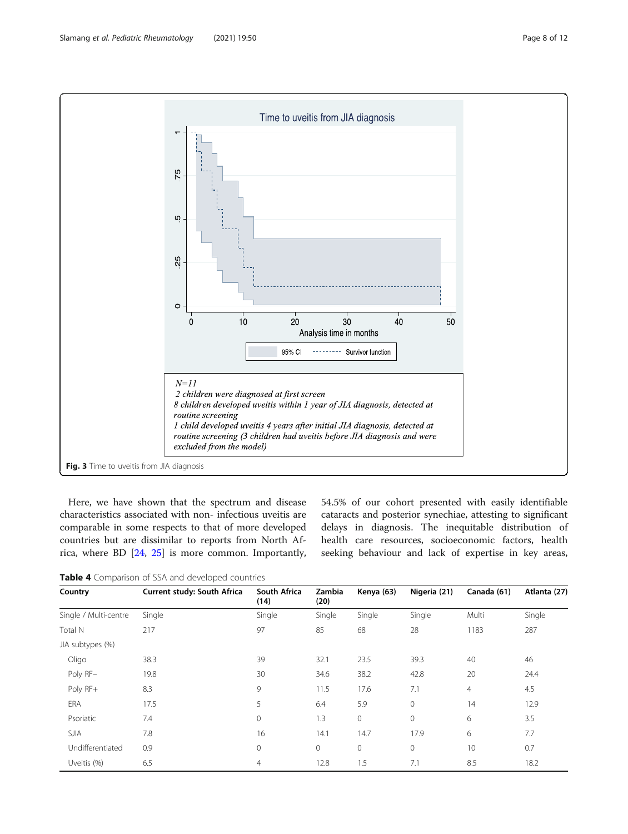<span id="page-7-0"></span>

Here, we have shown that the spectrum and disease characteristics associated with non- infectious uveitis are comparable in some respects to that of more developed countries but are dissimilar to reports from North Africa, where BD [\[24](#page-10-0), [25](#page-10-0)] is more common. Importantly,

54.5% of our cohort presented with easily identifiable cataracts and posterior synechiae, attesting to significant delays in diagnosis. The inequitable distribution of health care resources, socioeconomic factors, health seeking behaviour and lack of expertise in key areas,

Table 4 Comparison of SSA and developed countries

| Country               | Current study: South Africa | South Africa<br>(14) | Zambia<br>(20) | Kenya (63) | Nigeria (21) | Canada (61) | Atlanta (27) |
|-----------------------|-----------------------------|----------------------|----------------|------------|--------------|-------------|--------------|
| Single / Multi-centre | Single                      | Single               | Single         | Single     | Single       | Multi       | Single       |
| Total N               | 217                         | 97                   | 85             | 68         | 28           | 1183        | 287          |
| JIA subtypes (%)      |                             |                      |                |            |              |             |              |
| Oligo                 | 38.3                        | 39                   | 32.1           | 23.5       | 39.3         | 40          | 46           |
| Poly RF-              | 19.8                        | 30                   | 34.6           | 38.2       | 42.8         | 20          | 24.4         |
| Poly RF+              | 8.3                         | 9                    | 11.5           | 17.6       | 7.1          | 4           | 4.5          |
| <b>ERA</b>            | 17.5                        | 5                    | 6.4            | 5.9        | $\mathbf{0}$ | 14          | 12.9         |
| Psoriatic             | 7.4                         | $\mathbf{0}$         | 1.3            | 0          | $\mathbf{0}$ | 6           | 3.5          |
| <b>SJIA</b>           | 7.8                         | 16                   | 14.1           | 14.7       | 17.9         | 6           | 7.7          |
| Undifferentiated      | 0.9                         | $\mathbf{0}$         | 0              | $\circ$    | $\mathbf{0}$ | 10          | 0.7          |
| Uveitis (%)           | 6.5                         | $\overline{4}$       | 12.8           | 1.5        | 7.1          | 8.5         | 18.2         |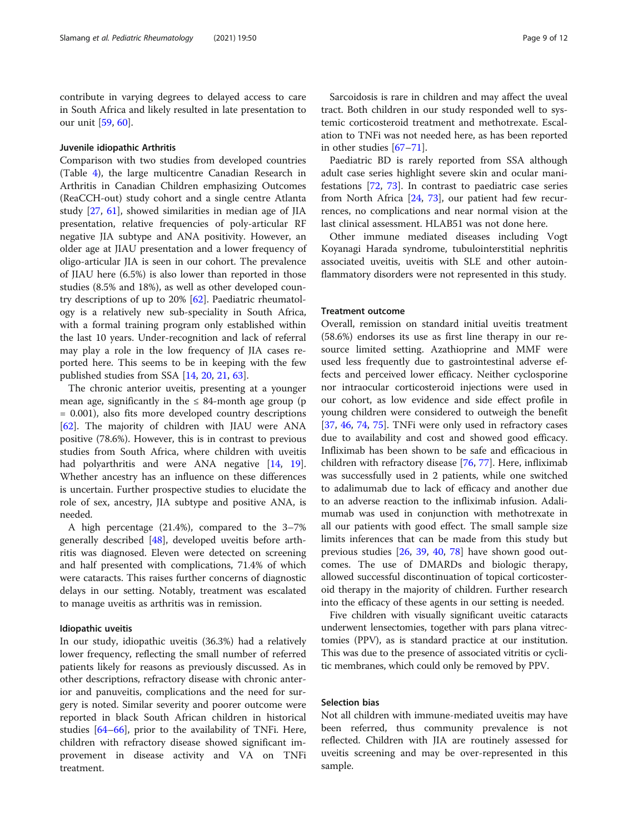contribute in varying degrees to delayed access to care in South Africa and likely resulted in late presentation to our unit [\[59](#page-11-0), [60](#page-11-0)].

# Juvenile idiopathic Arthritis

Comparison with two studies from developed countries (Table [4\)](#page-7-0), the large multicentre Canadian Research in Arthritis in Canadian Children emphasizing Outcomes (ReaCCH-out) study cohort and a single centre Atlanta study [\[27](#page-10-0), [61](#page-11-0)], showed similarities in median age of JIA presentation, relative frequencies of poly-articular RF negative JIA subtype and ANA positivity. However, an older age at JIAU presentation and a lower frequency of oligo-articular JIA is seen in our cohort. The prevalence of JIAU here (6.5%) is also lower than reported in those studies (8.5% and 18%), as well as other developed country descriptions of up to 20% [[62\]](#page-11-0). Paediatric rheumatology is a relatively new sub-speciality in South Africa, with a formal training program only established within the last 10 years. Under-recognition and lack of referral may play a role in the low frequency of JIA cases reported here. This seems to be in keeping with the few published studies from SSA [\[14,](#page-10-0) [20,](#page-10-0) [21,](#page-10-0) [63\]](#page-11-0).

The chronic anterior uveitis, presenting at a younger mean age, significantly in the  $\leq 84$ -month age group (p = 0.001), also fits more developed country descriptions [[62\]](#page-11-0). The majority of children with JIAU were ANA positive (78.6%). However, this is in contrast to previous studies from South Africa, where children with uveitis had polyarthritis and were ANA negative [\[14](#page-10-0), [19](#page-10-0)]. Whether ancestry has an influence on these differences is uncertain. Further prospective studies to elucidate the role of sex, ancestry, JIA subtype and positive ANA, is needed.

A high percentage (21.4%), compared to the 3–7% generally described [\[48](#page-11-0)], developed uveitis before arthritis was diagnosed. Eleven were detected on screening and half presented with complications, 71.4% of which were cataracts. This raises further concerns of diagnostic delays in our setting. Notably, treatment was escalated to manage uveitis as arthritis was in remission.

#### Idiopathic uveitis

In our study, idiopathic uveitis (36.3%) had a relatively lower frequency, reflecting the small number of referred patients likely for reasons as previously discussed. As in other descriptions, refractory disease with chronic anterior and panuveitis, complications and the need for surgery is noted. Similar severity and poorer outcome were reported in black South African children in historical studies [\[64](#page-11-0)–[66\]](#page-11-0), prior to the availability of TNFi. Here, children with refractory disease showed significant improvement in disease activity and VA on TNFi treatment.

Sarcoidosis is rare in children and may affect the uveal tract. Both children in our study responded well to systemic corticosteroid treatment and methotrexate. Escalation to TNFi was not needed here, as has been reported in other studies [[67](#page-11-0)–[71](#page-11-0)].

Paediatric BD is rarely reported from SSA although adult case series highlight severe skin and ocular manifestations [[72,](#page-11-0) [73](#page-11-0)]. In contrast to paediatric case series from North Africa [[24,](#page-10-0) [73\]](#page-11-0), our patient had few recurrences, no complications and near normal vision at the last clinical assessment. HLAB51 was not done here.

Other immune mediated diseases including Vogt Koyanagi Harada syndrome, tubulointerstitial nephritis associated uveitis, uveitis with SLE and other autoinflammatory disorders were not represented in this study.

#### Treatment outcome

Overall, remission on standard initial uveitis treatment (58.6%) endorses its use as first line therapy in our resource limited setting. Azathioprine and MMF were used less frequently due to gastrointestinal adverse effects and perceived lower efficacy. Neither cyclosporine nor intraocular corticosteroid injections were used in our cohort, as low evidence and side effect profile in young children were considered to outweigh the benefit [[37,](#page-10-0) [46](#page-11-0), [74](#page-11-0), [75\]](#page-11-0). TNFi were only used in refractory cases due to availability and cost and showed good efficacy. Infliximab has been shown to be safe and efficacious in children with refractory disease [\[76](#page-11-0), [77](#page-11-0)]. Here, infliximab was successfully used in 2 patients, while one switched to adalimumab due to lack of efficacy and another due to an adverse reaction to the infliximab infusion. Adalimumab was used in conjunction with methotrexate in all our patients with good effect. The small sample size limits inferences that can be made from this study but previous studies [[26,](#page-10-0) [39,](#page-10-0) [40,](#page-10-0) [78\]](#page-11-0) have shown good outcomes. The use of DMARDs and biologic therapy, allowed successful discontinuation of topical corticosteroid therapy in the majority of children. Further research into the efficacy of these agents in our setting is needed.

Five children with visually significant uveitic cataracts underwent lensectomies, together with pars plana vitrectomies (PPV), as is standard practice at our institution. This was due to the presence of associated vitritis or cyclitic membranes, which could only be removed by PPV.

## Selection bias

Not all children with immune-mediated uveitis may have been referred, thus community prevalence is not reflected. Children with JIA are routinely assessed for uveitis screening and may be over-represented in this sample.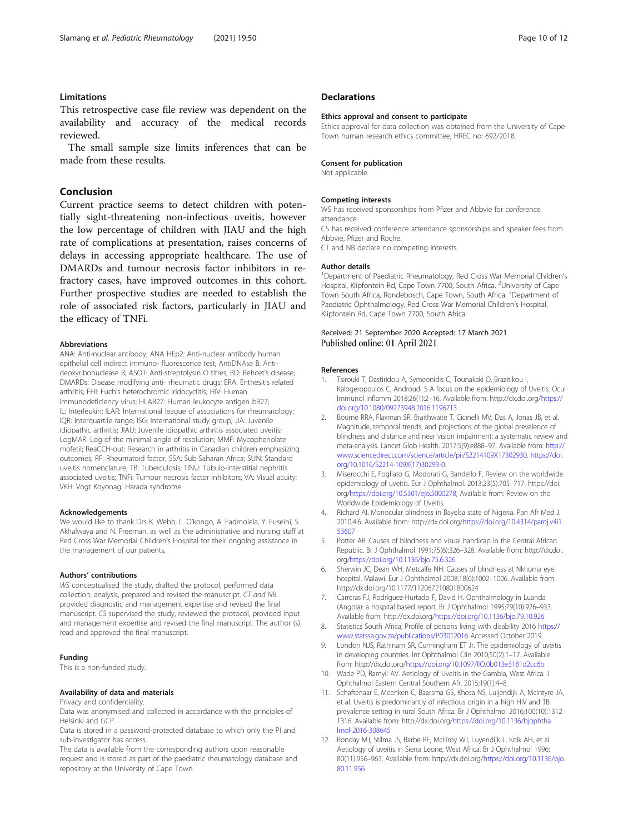# <span id="page-9-0"></span>Limitations

This retrospective case file review was dependent on the availability and accuracy of the medical records reviewed.

The small sample size limits inferences that can be made from these results.

# Conclusion

Current practice seems to detect children with potentially sight-threatening non-infectious uveitis, however the low percentage of children with JIAU and the high rate of complications at presentation, raises concerns of delays in accessing appropriate healthcare. The use of DMARDs and tumour necrosis factor inhibitors in refractory cases, have improved outcomes in this cohort. Further prospective studies are needed to establish the role of associated risk factors, particularly in JIAU and the efficacy of TNFi.

#### Abbreviations

ANA: Anti-nuclear antibody; ANA HEp2: Anti-nuclear antibody human epithelial cell indirect immuno- fluorescence test; AntiDNAse B: Antideoxyribonuclease B; ASOT: Anti-streptolysin O titres; BD: Behcet's disease; DMARDs: Disease modifying anti- rheumatic drugs; ERA: Enthesitis related arthritis; FHI: Fuch's heterochromic iridocyclitis; HIV: Human immunodeficiency virus; HLAB27: Human leukocyte antigen bB27; IL: Interleukin; ILAR: International league of associations for rheumatology; IQR: Interquartile range; ISG: International study group; JIA: Juvenile idiopathic arthritis; JIAU: Juvenile idiopathic arthritis associated uveitis; LogMAR: Log of the minimal angle of resolution; MMF: Mycophenolate mofetil; ReaCCH-out: Research in arthritis in Canadian children emphasizing outcomes; RF: Rheumatoid factor; SSA: Sub-Saharan Africa; SUN: Standard uveitis nomenclature; TB: Tuberculosis; TINU: Tubulo-interstitial nephritis associated uveitis; TNFi: Tumour necrosis factor inhibitors; VA: Visual acuity; VKH: Vogt Koyonagi Harada syndrome

#### Acknowledgements

We would like to thank Drs K. Webb, L. O'kongo, A. Fadmolela, Y. Fuseini, S. Akhalwaya and N. Freeman, as well as the administrative and nursing staff at Red Cross War Memorial Children's Hospital for their ongoing assistance in the management of our patients.

#### Authors' contributions

WS conceptualised the study, drafted the protocol, performed data collection, analysis, prepared and revised the manuscript. CT and NB provided diagnostic and management expertise and revised the final manuscript. CS supervised the study, reviewed the protocol, provided input and management expertise and revised the final manuscript. The author (s) read and approved the final manuscript.

#### Funding

This is a non-funded study.

#### Availability of data and materials

#### Privacy and confidentiality.

Data was anonymised and collected in accordance with the principles of Helsinki and GCP.

Data is stored in a password-protected database to which only the PI and sub-investigator has access.

The data is available from the corresponding authors upon reasonable request and is stored as part of the paediatric rheumatology database and repository at the University of Cape Town.

# **Declarations**

#### Ethics approval and consent to participate

Ethics approval for data collection was obtained from the University of Cape Town human research ethics committee, HREC no: 692/2018.

#### Consent for publication

Not applicable.

#### Competing interests

WS has received sponsorships from Pfizer and Abbvie for conference attendance.

CS has received conference attendance sponsorships and speaker fees from Abbvie, Pfizer and Roche. CT and NB declare no competing interests.

#### Author details

<sup>1</sup>Department of Paediatric Rheumatology, Red Cross War Memorial Children's Hospital, Klipfontein Rd, Cape Town 7700, South Africa. <sup>2</sup>University of Cape Town South Africa, Rondebosch, Cape Town, South Africa. <sup>3</sup>Department of Paediatric Ophthalmology, Red Cross War Memorial Children's Hospital, Klipfontein Rd, Cape Town 7700, South Africa.

#### Received: 21 September 2020 Accepted: 17 March 2021 Published online: 01 April 2021

#### References

- 1. Tsirouki T, Dastiridou A, Symeonidis C, Tounakaki O, Brazitikou I, Kalogeropoulos C, Androudi S A focus on the epidemiology of Uveitis. Ocul Immunol Inflamm 2018;26(1):2–16. Available from: http://dx.doi.org[/https://](https://doi.org/10.1080/09273948.2016.1196713) [doi.org/10.1080/09273948.2016.1196713](https://doi.org/10.1080/09273948.2016.1196713)
- 2. Bourne RRA, Flaxman SR, Braithwaite T, Cicinelli MV, Das A, Jonas JB, et al. Magnitude, temporal trends, and projections of the global prevalence of blindness and distance and near vision impairment: a systematic review and meta-analysis. Lancet Glob Health. 2017;5(9):e888–97. Available from: [http://](http://www.sciencedirect.com/science/article/pii/S2214109X17302930) [www.sciencedirect.com/science/article/pii/S2214109X17302930.](http://www.sciencedirect.com/science/article/pii/S2214109X17302930) [https://doi.](https://doi.org/10.1016/S2214-109X(17)30293-0) [org/10.1016/S2214-109X\(17\)30293-0](https://doi.org/10.1016/S2214-109X(17)30293-0).
- 3. Miserocchi E, Fogliato G, Modorati G, Bandello F. Review on the worldwide epidemiology of uveitis. Eur J Ophthalmol. 2013;23(5):705–717. https://doi. org/[https://doi.org/10.5301/ejo.5000278,](https://doi.org/10.5301/ejo.5000278) Available from: Review on the Worldwide Epidemiology of Uveitis.
- 4. Richard AI. Monocular blindness in Bayelsa state of Nigeria. Pan Afr Med J. 2010;4:6. Available from: http://dx.doi.org/[https://doi.org/10.4314/pamj.v4i1.](https://doi.org/10.4314/pamj.v4i1.53607) [53607](https://doi.org/10.4314/pamj.v4i1.53607)
- 5. Potter AR. Causes of blindness and visual handicap in the Central African Republic. Br J Ophthalmol 1991;75(6):326–328. Available from: http://dx.doi. org/<https://doi.org/10.1136/bjo.75.6.326>
- 6. Sherwin JC, Dean WH, Metcalfe NH. Causes of blindness at Nkhoma eye hospital, Malawi. Eur J Ophthalmol 2008;18(6):1002–1006. Available from: http://dx.doi.org/10.1177/112067210801800624
- 7. Carreras FJ, Rodríguez-Hurtado F, David H. Ophthalmology in Luanda (Angola): a hospital based report. Br J Ophthalmol 1995;79(10):926–933. Available from: http://dx.doi.org/<https://doi.org/10.1136/bjo.79.10.926>
- Statistics South Africa; Profile of persons living with disability 2016 [https://](https://www.statssa.gov.za/publications/P03012016) [www.statssa.gov.za/publications/P03012016](https://www.statssa.gov.za/publications/P03012016) Accessed October 2019.
- London NJS, Rathinam SR, Cunningham ET Jr. The epidemiology of uveitis in developing countries. Int Ophthalmol Clin 2010;50(2):1–17. Available from: http://dx.doi.org[/https://doi.org/10.1097/IIO.0b013e3181d2cc6b](https://doi.org/10.1097/IIO.0b013e3181d2cc6b)
- 10. Wade PD, Ramyil AV. Aetiology of Uveitis in the Gambia, West Africa. J Ophthalmol Eastern Central Southern Afr. 2015;19(1):4–8.
- 11. Schaftenaar E, Meenken C, Baarsma GS, Khosa NS, Luijendijk A, McIntyre JA, et al. Uveitis is predominantly of infectious origin in a high HIV and TB prevalence setting in rural South Africa. Br J Ophthalmol 2016;100(10):1312– 1316. Available from: http://dx.doi.org/[https://doi.org/10.1136/bjophtha](https://doi.org/10.1136/bjophthalmol-2016-308645) [lmol-2016-308645](https://doi.org/10.1136/bjophthalmol-2016-308645)
- 12. Ronday MJ, Stilma JS, Barbe RF, McElroy WJ, Luyendijk L, Kolk AH, et al. Aetiology of uveitis in Sierra Leone, West Africa. Br J Ophthalmol 1996; 80(11):956–961. Available from: http://dx.doi.org/[https://doi.org/10.1136/bjo.](https://doi.org/10.1136/bjo.80.11.956) [80.11.956](https://doi.org/10.1136/bjo.80.11.956)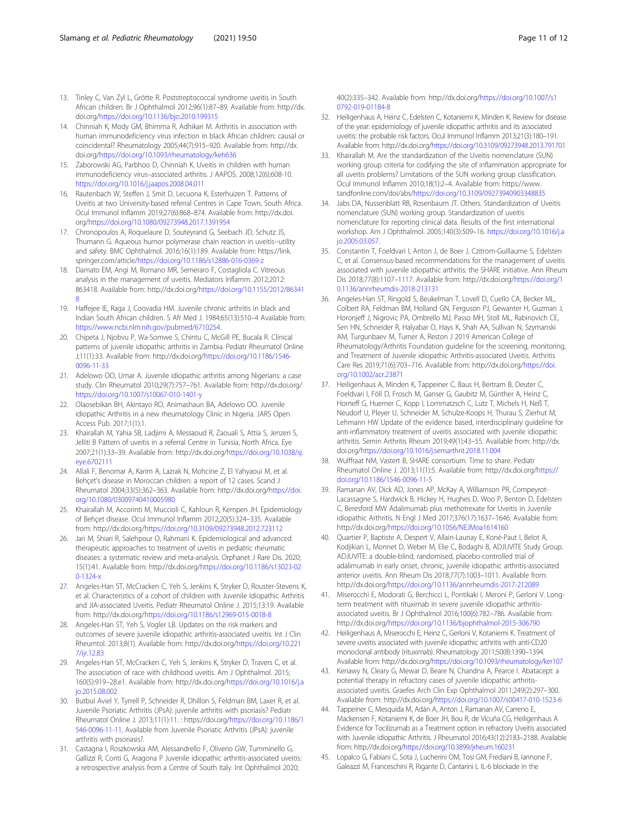- <span id="page-10-0"></span>13. Tinley C, Van Zyl L, Grötte R. Poststreptococcal syndrome uveitis in South African children. Br J Ophthalmol 2012;96(1):87–89. Available from: http://dx. doi.org[/https://doi.org/10.1136/bjo.2010.199315](https://doi.org/10.1136/bjo.2010.199315)
- 14. Chinniah K, Mody GM, Bhimma R, Adhikari M. Arthritis in association with human immunodeficiency virus infection in black African children: causal or coincidental? Rheumatology 2005;44(7):915–920. Available from: http://dx. doi.org[/https://doi.org/10.1093/rheumatology/keh636](https://doi.org/10.1093/rheumatology/keh636)
- 15. Zaborowski AG, Parbhoo D, Chinniah K. Uveitis in children with human immunodeficiency virus–associated arthritis. J AAPOS. 2008;12(6):608-10. <https://doi.org/10.1016/j.jaapos.2008.04.011>
- 16. Rautenbach W, Steffen J, Smit D, Lecuona K, Esterhuizen T. Patterns of Uveitis at two University-based referral Centres in Cape Town, South Africa. Ocul Immunol Inflamm 2019;27(6):868–874. Available from: http://dx.doi. org/<https://doi.org/10.1080/09273948.2017.1391954>
- 17. Chronopoulos A, Roquelaure D, Souteyrand G, Seebach JD, Schutz JS, Thumann G. Aqueous humor polymerase chain reaction in uveitis--utility and safety. BMC Ophthalmol. 2016;16(1):189. Available from: https://link. springer.com/article/<https://doi.org/10.1186/s12886-016-0369-z>
- 18. Damato EM, Angi M, Romano MR, Semeraro F, Costagliola C. Vitreous analysis in the management of uveitis. Mediators Inflamm. 2012;2012: 863418. Available from: http://dx.doi.org/[https://doi.org/10.1155/2012/86341](https://doi.org/10.1155/2012/863418) [8](https://doi.org/10.1155/2012/863418)
- 19. Haffejee IE, Raga J, Coovadia HM. Juvenile chronic arthritis in black and Indian South African children. S Afr Med J. 1984;65(13):510–4 Available from: [https://www.ncbi.nlm.nih.gov/pubmed/6710254.](https://www.ncbi.nlm.nih.gov/pubmed/6710254)
- 20. Chipeta J, Njobvu P, Wa-Somwe S, Chintu C, McGill PE, Bucala R. Clinical patterns of juvenile idiopathic arthritis in Zambia. Pediatr Rheumatol Online J;11(1):33. Available from: http://dx.doi.org/[https://doi.org/10.1186/1546-](https://doi.org/10.1186/1546-0096-11-33) [0096-11-33](https://doi.org/10.1186/1546-0096-11-33)
- 21. Adelowo OO, Umar A. Juvenile idiopathic arthritis among Nigerians: a case study. Clin Rheumatol 2010;29(7):757–761. Available from: http://dx.doi.org/ <https://doi.org/10.1007/s10067-010-1401-y>
- 22. Olaosebikan BH, Akintayo RO, Animashaun BA, Adelowo OO. Juvenile idiopathic Arthritis in a new rheumatology Clinic in Nigeria. JARS Open Access Pub. 2017;1(1):1.
- 23. Khairallah M, Yahia SB, Ladjimi A, Messaoud R, Zaouali S, Attia S, Jenzeri S, Jelliti B Pattern of uveitis in a referral Centre in Tunisia, North Africa. Eye 2007;21(1):33–39. Available from: http://dx.doi.org[/https://doi.org/10.1038/sj.](https://doi.org/10.1038/sj.eye.6702111) [eye.6702111](https://doi.org/10.1038/sj.eye.6702111)
- 24. Allali F, Benomar A, Karim A, Lazrak N, Mohcine Z, El Yahyaoui M, et al. Behçet's disease in Moroccan children: a report of 12 cases. Scand J Rheumatol 2004;33(5):362–363. Available from: http://dx.doi.org/[https://doi.](https://doi.org/10.1080/03009740410005980) [org/10.1080/03009740410005980](https://doi.org/10.1080/03009740410005980)
- 25. Khairallah M, Accorinti M, Muccioli C, Kahloun R, Kempen JH. Epidemiology of Behçet disease. Ocul Immunol Inflamm 2012;20(5):324–335. Available from: http://dx.doi.org[/https://doi.org/10.3109/09273948.2012.723112](https://doi.org/10.3109/09273948.2012.723112)
- 26. Jari M, Shiari R, Salehpour O, Rahmani K. Epidemiological and advanced therapeutic approaches to treatment of uveitis in pediatric rheumatic diseases: a systematic review and meta-analysis. Orphanet J Rare Dis. 2020; 15(1):41. Available from: http://dx.doi.org/[https://doi.org/10.1186/s13023-02](https://doi.org/10.1186/s13023-020-1324-x) [0-1324-x](https://doi.org/10.1186/s13023-020-1324-x)
- 27. Angeles-Han ST, McCracken C, Yeh S, Jenkins K, Stryker D, Rouster-Stevens K, et al. Characteristics of a cohort of children with Juvenile Idiopathic Arthritis and JIA-associated Uveitis. Pediatr Rheumatol Online J. 2015;13:19. Available from: http://dx.doi.org[/https://doi.org/10.1186/s12969-015-0018-8](https://doi.org/10.1186/s12969-015-0018-8)
- 28. Angeles-Han ST, Yeh S, Vogler LB. Updates on the risk markers and outcomes of severe juvenile idiopathic arthritis-associated uveitis. Int J Clin Rheumtol. 2013;8(1). Available from: http://dx.doi.org[/https://doi.org/10.221](https://doi.org/10.2217/ijr.12.83) [7/ijr.12.83](https://doi.org/10.2217/ijr.12.83)
- 29. Angeles-Han ST, McCracken C, Yeh S, Jenkins K, Stryker D, Travers C, et al. The association of race with childhood uveitis. Am J Ophthalmol. 2015; 160(5):919–28.e1. Available from: http://dx.doi.org[/https://doi.org/10.1016/j.a](https://doi.org/10.1016/j.ajo.2015.08.002) [jo.2015.08.002](https://doi.org/10.1016/j.ajo.2015.08.002)
- 30. Butbul Aviel Y, Tyrrell P, Schneider R, Dhillon S, Feldman BM, Laxer R, et al. Juvenile Psoriatic Arthritis (JPsA): juvenile arthritis with psoriasis? Pediatr Rheumatol Online J. 2013;11(1):11. : https://doi.org/[https://doi.org/10.1186/1](https://doi.org/10.1186/1546-0096-11-11) [546-0096-11-11](https://doi.org/10.1186/1546-0096-11-11), Available from Juvenile Psoriatic Arthritis (JPsA): juvenile arthritis with psoriasis?.
- 31. Castagna I, Roszkowska AM, Alessandrello F, Oliverio GW, Tumminello G, Gallizzi R, Conti G, Aragona P Juvenile idiopathic arthritis-associated uveitis: a retrospective analysis from a Centre of South Italy. Int Ophthalmol 2020;

40(2):335–342. Available from: http://dx.doi.org[/https://doi.org/10.1007/s1](https://doi.org/10.1007/s10792-019-01184-8) [0792-019-01184-8](https://doi.org/10.1007/s10792-019-01184-8)

- 32. Heiligenhaus A, Heinz C, Edelsten C, Kotaniemi K, Minden K. Review for disease of the year: epidemiology of juvenile idiopathic arthritis and its associated uveitis: the probable risk factors. Ocul Immunol Inflamm 2013;21(3):180–191. Available from: http://dx.doi.org[/https://doi.org/10.3109/09273948.2013.791701](https://doi.org/10.3109/09273948.2013.791701)
- 33. Khairallah M. Are the standardization of the Uveitis nomenclature (SUN) working group criteria for codifying the site of inflammation appropriate for all uveitis problems? Limitations of the SUN working group classification. Ocul Immunol Inflamm 2010;18(1):2–4. Available from: https://www. tandfonline.com/doi/abs[/https://doi.org/10.3109/09273940903348835](https://doi.org/10.3109/09273940903348835)
- 34. Jabs DA, Nussenblatt RB, Rosenbaum JT. Others. Standardization of Uveitis nomenclature (SUN) working group. Standardization of uveitis nomenclature for reporting clinical data. Results of the first international workshop. Am J Ophthalmol. 2005;140(3):509–16. [https://doi.org/10.1016/j.a](https://doi.org/10.1016/j.ajo.2005.03.057) [jo.2005.03.057](https://doi.org/10.1016/j.ajo.2005.03.057).
- 35. Constantin T, Foeldvari I, Anton J, de Boer J, Czitrom-Guillaume S, Edelsten C, et al. Consensus-based recommendations for the management of uveitis associated with juvenile idiopathic arthritis: the SHARE initiative. Ann Rheum Dis 2018;77(8):1107–1117. Available from: http://dx.doi.org/[https://doi.org/1](https://doi.org/10.1136/annrheumdis-2018-213131) [0.1136/annrheumdis-2018-213131](https://doi.org/10.1136/annrheumdis-2018-213131)
- 36. Angeles-Han ST, Ringold S, Beukelman T, Lovell D, Cuello CA, Becker ML, Colbert RA, Feldman BM, Holland GN, Ferguson PJ, Gewanter H, Guzman J, Horonjeff J, Nigrovic PA, Ombrello MJ, Passo MH, Stoll ML, Rabinovich CE, Sen HN, Schneider R, Halyabar O, Hays K, Shah AA, Sullivan N, Szymanski AM, Turgunbaev M, Turner A, Reston J 2019 American College of Rheumatology/Arthritis Foundation guideline for the screening, monitoring, and Treatment of Juvenile idiopathic Arthritis-associated Uveitis. Arthritis Care Res 2019;71(6):703–716. Available from: http://dx.doi.org/[https://doi.](https://doi.org/10.1002/acr.23871) [org/10.1002/acr.23871](https://doi.org/10.1002/acr.23871)
- 37. Heiligenhaus A, Minden K, Tappeiner C, Baus H, Bertram B, Deuter C, Foeldvari I, Föll D, Frosch M, Ganser G, Gaubitz M, Günther A, Heinz C, Horneff G, Huemer C, Kopp I, Lommatzsch C, Lutz T, Michels H, Neß T, Neudorf U, Pleyer U, Schneider M, Schulze-Koops H, Thurau S, Zierhut M, Lehmann HW Update of the evidence based, interdisciplinary guideline for anti-inflammatory treatment of uveitis associated with juvenile idiopathic arthritis. Semin Arthritis Rheum 2019;49(1):43–55. Available from: http://dx. doi.org[/https://doi.org/10.1016/j.semarthrit.2018.11.004](https://doi.org/10.1016/j.semarthrit.2018.11.004)
- 38. Wulffraat NM, Vastert B, SHARE consortium. Time to share. Pediatr Rheumatol Online J. 2013;11(1):5. Available from: http://dx.doi.org[/https://](https://doi.org/10.1186/1546-0096-11-5) [doi.org/10.1186/1546-0096-11-5](https://doi.org/10.1186/1546-0096-11-5)
- 39. Ramanan AV, Dick AD, Jones AP, McKay A, Williamson PR, Compeyrot-Lacassagne S, Hardwick B, Hickey H, Hughes D, Woo P, Benton D, Edelsten C, Beresford MW Adalimumab plus methotrexate for Uveitis in Juvenile idiopathic Arthritis. N Engl J Med 2017;376(17):1637–1646. Available from: http://dx.doi.org[/https://doi.org/10.1056/NEJMoa1614160](https://doi.org/10.1056/NEJMoa1614160)
- 40. Quartier P, Baptiste A, Despert V, Allain-Launay E, Koné-Paut I, Belot A, Kodjikian L, Monnet D, Weber M, Elie C, Bodaghi B, ADJUVITE Study Group. ADJUVITE: a double-blind, randomised, placebo-controlled trial of adalimumab in early onset, chronic, juvenile idiopathic arthritis-associated anterior uveitis. Ann Rheum Dis 2018;77(7):1003–1011. Available from: http://dx.doi.org[/https://doi.org/10.1136/annrheumdis-2017-212089](https://doi.org/10.1136/annrheumdis-2017-212089)
- 41. Miserocchi E, Modorati G, Berchicci L, Pontikaki I, Meroni P, Gerloni V. Longterm treatment with rituximab in severe juvenile idiopathic arthritisassociated uveitis. Br J Ophthalmol 2016;100(6):782–786. Available from: http://dx.doi.org[/https://doi.org/10.1136/bjophthalmol-2015-306790](https://doi.org/10.1136/bjophthalmol-2015-306790)
- 42. Heiligenhaus A, Miserocchi E, Heinz C, Gerloni V, Kotaniemi K. Treatment of severe uveitis associated with juvenile idiopathic arthritis with anti-CD20 monoclonal antibody (rituximab). Rheumatology 2011;50(8):1390–1394. Available from: http://dx.doi.org[/https://doi.org/10.1093/rheumatology/ker107](https://doi.org/10.1093/rheumatology/ker107)
- 43. Kenawy N, Cleary G, Mewar D, Beare N, Chandna A, Pearce I. Abatacept: a potential therapy in refractory cases of juvenile idiopathic arthritisassociated uveitis. Graefes Arch Clin Exp Ophthalmol 2011;249(2):297–300. Available from: http://dx.doi.org/<https://doi.org/10.1007/s00417-010-1523-6>
- 44. Tappeiner C, Mesquida M, Adán A, Anton J, Ramanan AV, Carreno E, Mackensen F, Kotaniemi K, de Boer JH, Bou R, de Vicuña CG, Heiligenhaus A Evidence for Tocilizumab as a Treatment option in refractory Uveitis associated with Juvenile idiopathic Arthritis. J Rheumatol 2016;43(12):2183–2188. Available from: http://dx.doi.org[/https://doi.org/10.3899/jrheum.160231](https://doi.org/10.3899/jrheum.160231)
- 45. Lopalco G, Fabiani C, Sota J, Lucherini OM, Tosi GM, Frediani B, Iannone F, Galeazzi M, Franceschini R, Rigante D, Cantarini L IL-6 blockade in the